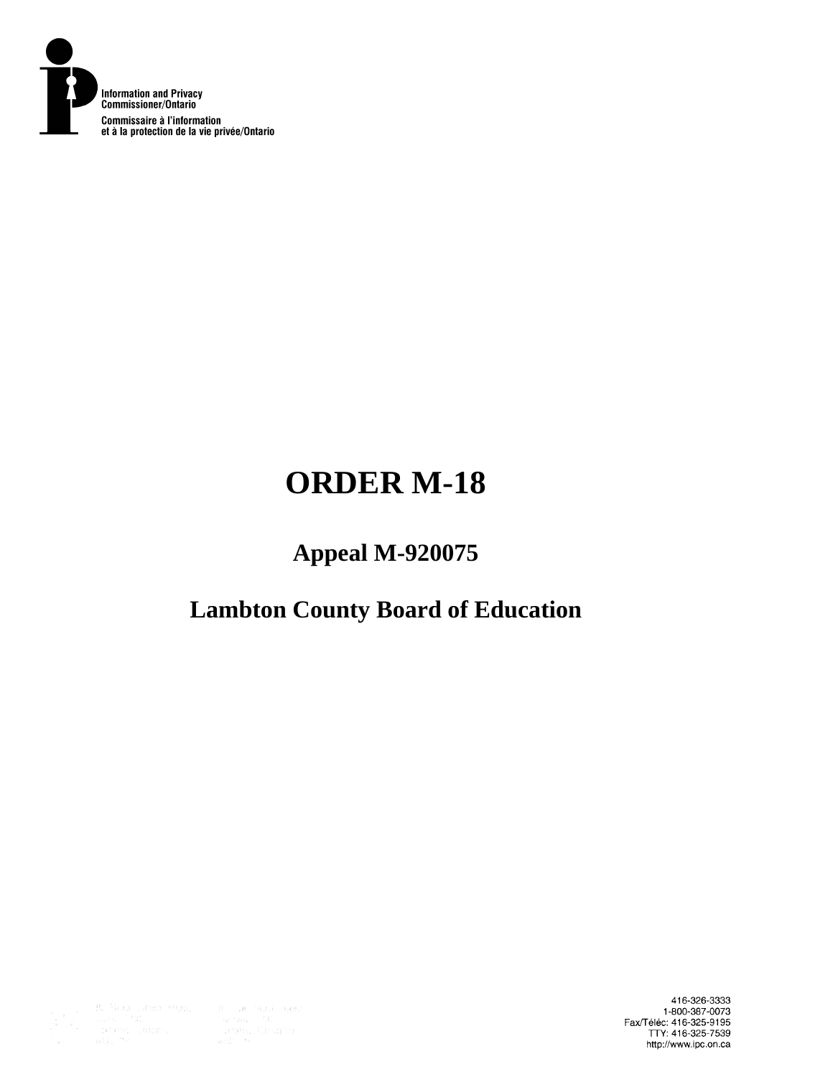

# **ORDER M-18**

# **Appeal M-920075**

# **Lambton County Board of Education**



416-326-3333 1-800-387-0073<br>Fax/Téléc: 416-325-9195<br>TTY: 416-325-7539 http://www.ipc.on.ca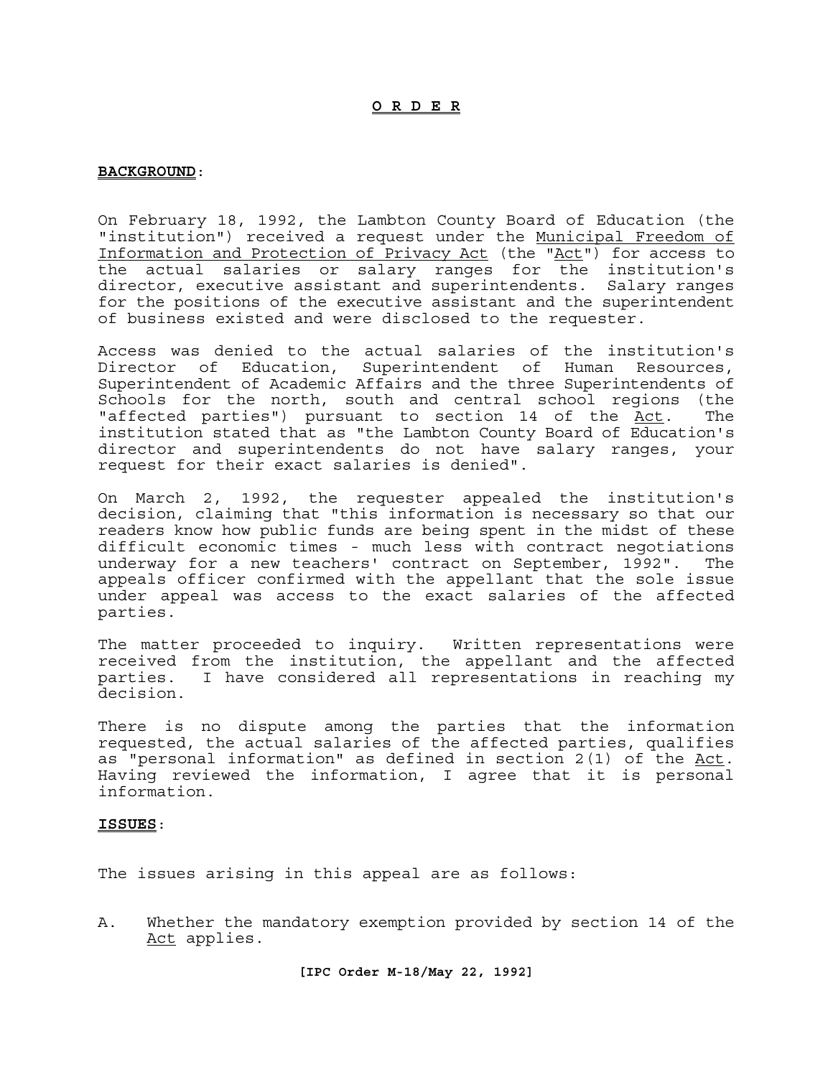### **O R D E R**

#### **BACKGROUND**:

On February 18, 1992, the Lambton County Board of Education (the "institution") received a request under the Municipal Freedom of Information and Protection of Privacy Act (the "Act") for access to the actual salaries or salary ranges for the institution's director, executive assistant and superintendents. Salary ranges for the positions of the executive assistant and the superintendent of business existed and were disclosed to the requester.

Access was denied to the actual salaries of the institution's Director of Education, Superintendent of Human Resources, Superintendent of Academic Affairs and the three Superintendents of Schools for the north, south and central school regions (the "affected parties") pursuant to section 14 of the Act. The institution stated that as "the Lambton County Board of Education's director and superintendents do not have salary ranges, your request for their exact salaries is denied".

On March 2, 1992, the requester appealed the institution's decision, claiming that "this information is necessary so that our readers know how public funds are being spent in the midst of these difficult economic times - much less with contract negotiations underway for a new teachers' contract on September, 1992". The appeals officer confirmed with the appellant that the sole issue under appeal was access to the exact salaries of the affected parties.

The matter proceeded to inquiry. Written representations were received from the institution, the appellant and the affected parties. I have considered all representations in reaching my decision.

There is no dispute among the parties that the information requested, the actual salaries of the affected parties, qualifies as "personal information" as defined in section 2(1) of the <u>Act</u>.<br>Having reviewed the information, I agree that it is personal information.

#### **ISSUES**:

The issues arising in this appeal are as follows:

A. Whether the mandatory exemption provided by section 14 of the Act applies.

**[IPC Order M-18/May 22, 1992]**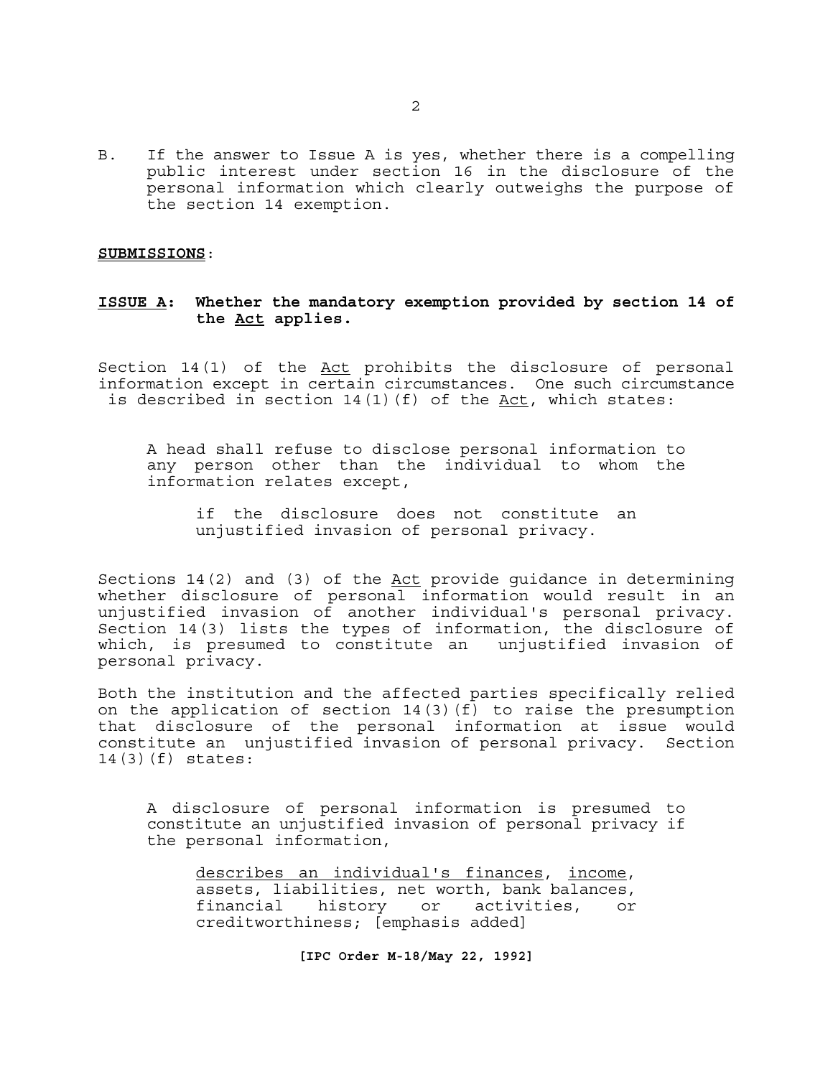B. If the answer to Issue A is yes, whether there is a compelling public interest under section 16 in the disclosure of the personal information which clearly outweighs the purpose of the section 14 exemption.

#### **SUBMISSIONS**:

## **ISSUE A: Whether the mandatory exemption provided by section 14 of the Act applies.**

Section 14(1) of the Act prohibits the disclosure of personal information except in certain circumstances. One such circumstance is described in section  $14(1)(f)$  of the  $Act$ , which states:</u>

A head shall refuse to disclose personal information to any person other than the individual to whom the information relates except,

if the disclosure does not constitute an unjustified invasion of personal privacy.

Sections 14(2) and (3) of the Act provide guidance in determining whether disclosure of personal information would result in an unjustified invasion of another individual's personal privacy. Section 14(3) lists the types of information, the disclosure of which, is presumed to constitute an unjustified invasion of personal privacy.

Both the institution and the affected parties specifically relied on the application of section 14(3)(f) to raise the presumption that disclosure of the personal information at issue would constitute an unjustified invasion of personal privacy. Section 14(3)(f) states:

A disclosure of personal information is presumed to constitute an unjustified invasion of personal privacy if the personal information,

describes an individual's finances, income, assets, liabilities, net worth, bank balances, financial history or activities, or creditworthiness; [emphasis added]

**[IPC Order M-18/May 22, 1992]**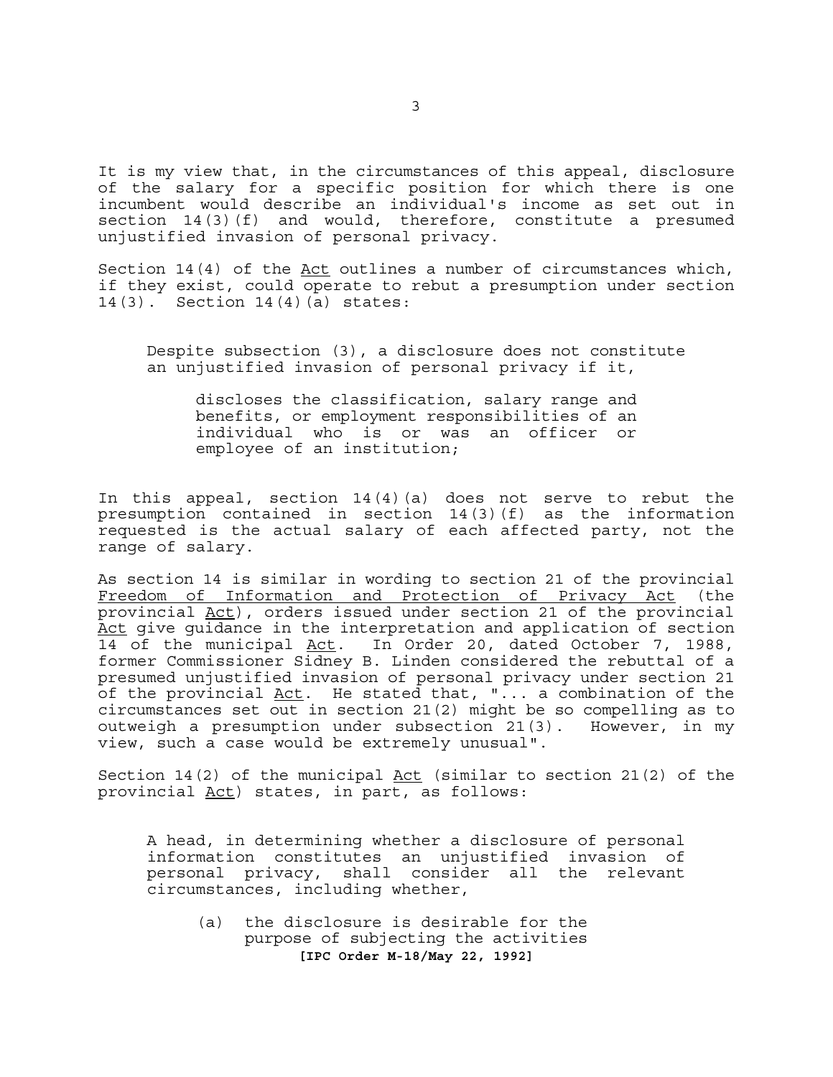It is my view that, in the circumstances of this appeal, disclosure of the salary for a specific position for which there is one incumbent would describe an individual's income as set out in section 14(3)(f) and would, therefore, constitute a presumed unjustified invasion of personal privacy.

Section  $14(4)$  of the Act outlines a number of circumstances which, if they exist, could operate to rebut a presumption under section 14(3). Section 14(4)(a) states:

Despite subsection (3), a disclosure does not constitute an unjustified invasion of personal privacy if it,

discloses the classification, salary range and benefits, or employment responsibilities of an individual who is or was an officer or employee of an institution;

In this appeal, section  $14(4)(a)$  does not serve to rebut the presumption contained in section 14(3)(f) as the information requested is the actual salary of each affected party, not the range of salary.

As section 14 is similar in wording to section 21 of the provincial Freedom of Information and Protection of Privacy Act (the provincial Act), orders issued under section 21 of the provincial Act give guidance in the interpretation and application of section 14 of the municipal Act. In Order 20, dated October 7, 1988, former Commissioner Sidney B. Linden considered the rebuttal of a presumed unjustified invasion of personal privacy under section 21 of the provincial Act. He stated that, "... a combination of the circumstances set out in section 21(2) might be so compelling as to outweigh a presumption under subsection 21(3). However, in my view, such a case would be extremely unusual".

Section 14(2) of the municipal Act (similar to section 21(2) of the provincial Act) states, in part, as follows:

A head, in determining whether a disclosure of personal information constitutes an unjustified invasion of personal privacy, shall consider all the relevant circumstances, including whether,

**[IPC Order M-18/May 22, 1992]**  (a) the disclosure is desirable for the purpose of subjecting the activities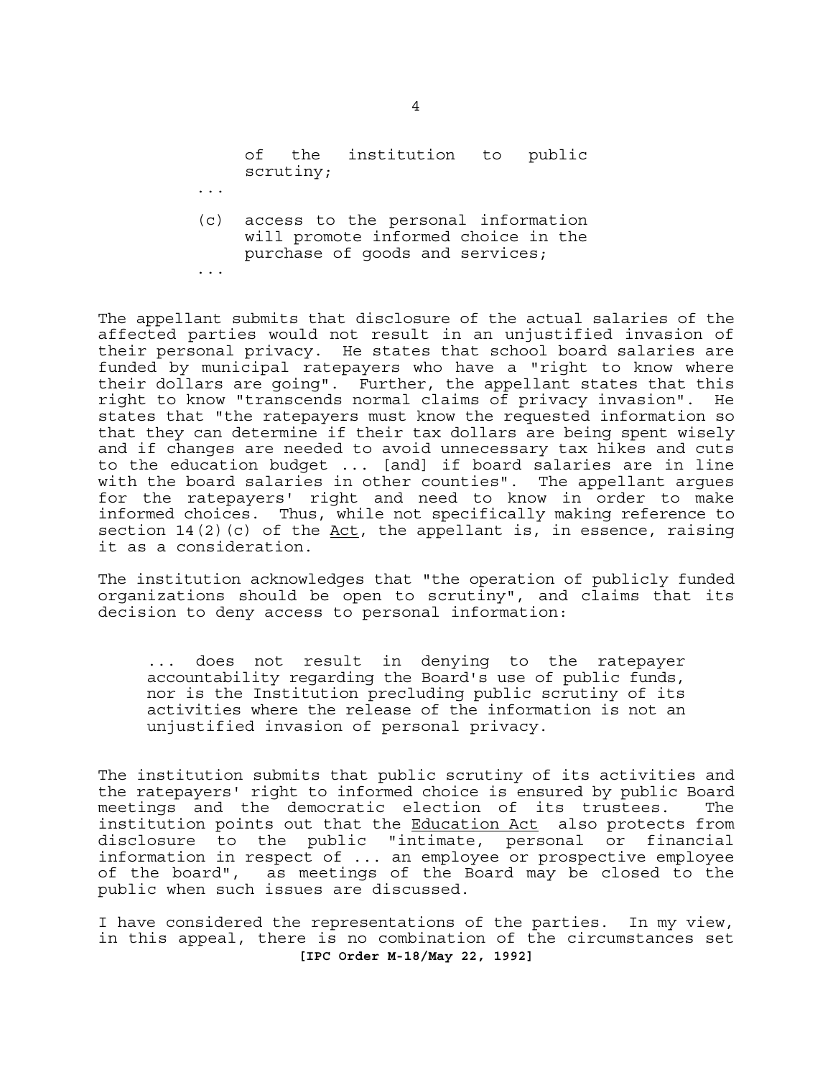of the institution to public scrutiny;

(c) access to the personal information will promote informed choice in the purchase of goods and services;

...

...

The appellant submits that disclosure of the actual salaries of the affected parties would not result in an unjustified invasion of their personal privacy. He states that school board salaries are funded by municipal ratepayers who have a "right to know where their dollars are going". Further, the appellant states that this right to know "transcends normal claims of privacy invasion". He states that "the ratepayers must know the requested information so that they can determine if their tax dollars are being spent wisely and if changes are needed to avoid unnecessary tax hikes and cuts to the education budget ... [and] if board salaries are in line with the board salaries in other counties". The appellant argues for the ratepayers' right and need to know in order to make informed choices. Thus, while not specifically making reference to section 14(2)(c) of the  $Act$ , the appellant is, in essence, raising it as a consideration.

The institution acknowledges that "the operation of publicly funded organizations should be open to scrutiny", and claims that its decision to deny access to personal information:

... does not result in denying to the ratepayer accountability regarding the Board's use of public funds, nor is the Institution precluding public scrutiny of its activities where the release of the information is not an unjustified invasion of personal privacy.

The institution submits that public scrutiny of its activities and the ratepayers' right to informed choice is ensured by public Board meetings and the democratic election of its trustees. The institution points out that the Education Act also protects from disclosure to the public "intimate, personal or financial information in respect of ... an employee or prospective employee of the board", as meetings of the Board may be closed to the public when such issues are discussed.

**[IPC Order M-18/May 22, 1992]**  I have considered the representations of the parties. In my view, in this appeal, there is no combination of the circumstances set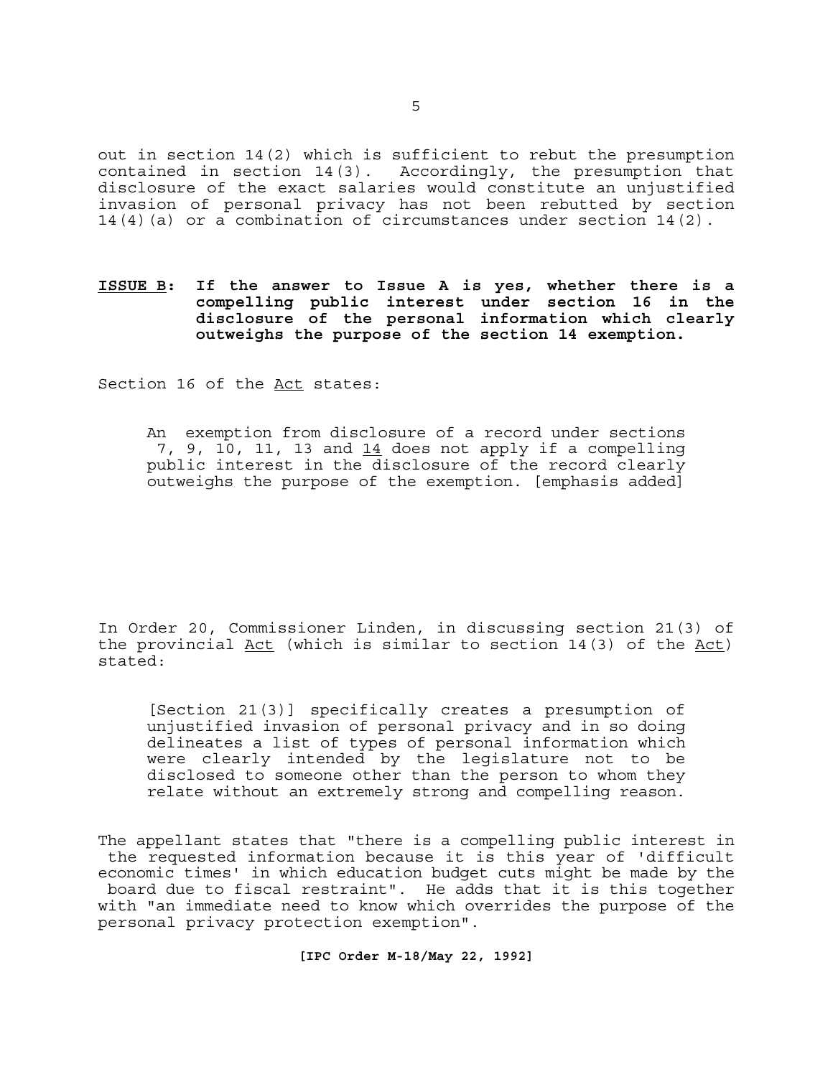out in section 14(2) which is sufficient to rebut the presumption<br>contained in section 14(3). Accordingly, the presumption that Accordingly, the presumption that disclosure of the exact salaries would constitute an unjustified invasion of personal privacy has not been rebutted by section 14(4)(a) or a combination of circumstances under section 14(2).

**ISSUE B: If the answer to Issue A is yes, whether there is a compelling public interest under section 16 in the disclosure of the personal information which clearly outweighs the purpose of the section 14 exemption.**

Section 16 of the Act states:

An exemption from disclosure of a record under sections 7, 9, 10, 11, 13 and  $14$  does not apply if a compelling public interest in the disclosure of the record clearly outweighs the purpose of the exemption. [emphasis added]

In Order 20, Commissioner Linden, in discussing section 21(3) of the provincial Act (which is similar to section 14(3) of the Act) stated:

[Section 21(3)] specifically creates a presumption of unjustified invasion of personal privacy and in so doing delineates a list of types of personal information which were clearly intended by the legislature not to be disclosed to someone other than the person to whom they relate without an extremely strong and compelling reason.

The appellant states that "there is a compelling public interest in the requested information because it is this year of 'difficult economic times' in which education budget cuts might be made by the board due to fiscal restraint". He adds that it is this together with "an immediate need to know which overrides the purpose of the personal privacy protection exemption".

**[IPC Order M-18/May 22, 1992]**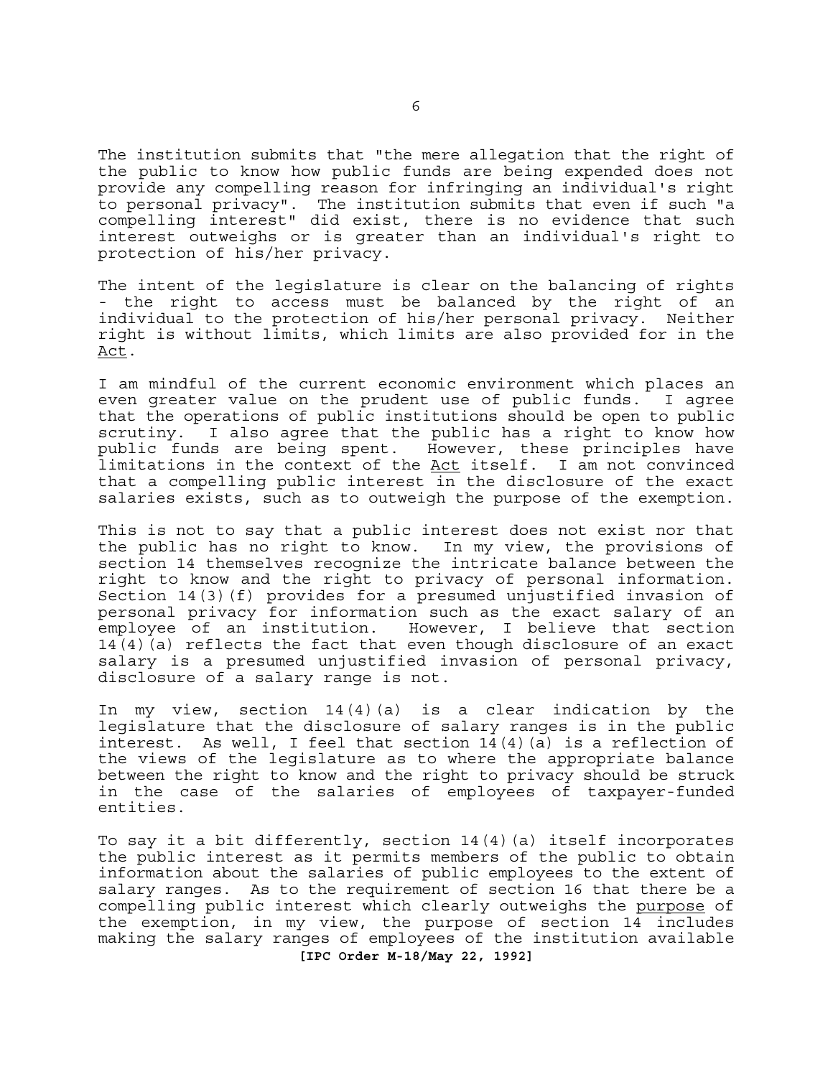The institution submits that "the mere allegation that the right of the public to know how public funds are being expended does not provide any compelling reason for infringing an individual's right to personal privacy". The institution submits that even if such "a compelling interest" did exist, there is no evidence that such interest outweighs or is greater than an individual's right to protection of his/her privacy.

The intent of the legislature is clear on the balancing of rights - the right to access must be balanced by the right of an individual to the protection of his/her personal privacy. Neither right is without limits, which limits are also provided for in the Act.

I am mindful of the current economic environment which places an even greater value on the prudent use of public funds. I agree that the operations of public institutions should be open to public scrutiny. I also agree that the public has a right to know how public funds are being spent. However, these principles have limitations in the context of the Act itself. I am not convinced that a compelling public interest in the disclosure of the exact salaries exists, such as to outweigh the purpose of the exemption.

This is not to say that a public interest does not exist nor that the public has no right to know. In my view, the provisions of section 14 themselves recognize the intricate balance between the right to know and the right to privacy of personal information. Section 14(3)(f) provides for a presumed unjustified invasion of personal privacy for information such as the exact salary of an employee of an institution. However, I believe that section  $14(4)(a)$  reflects the fact that even though disclosure of an exact salary is a presumed unjustified invasion of personal privacy, disclosure of a salary range is not.

In my view, section 14(4)(a) is a clear indication by the legislature that the disclosure of salary ranges is in the public interest. As well, I feel that section 14(4)(a) is a reflection of the views of the legislature as to where the appropriate balance between the right to know and the right to privacy should be struck in the case of the salaries of employees of taxpayer-funded entities.

**[IPC Order M-18/May 22, 1992]**  To say it a bit differently, section 14(4)(a) itself incorporates the public interest as it permits members of the public to obtain information about the salaries of public employees to the extent of salary ranges. As to the requirement of section 16 that there be a compelling public interest which clearly outweighs the purpose of the exemption, in my view, the purpose of section 14 includes making the salary ranges of employees of the institution available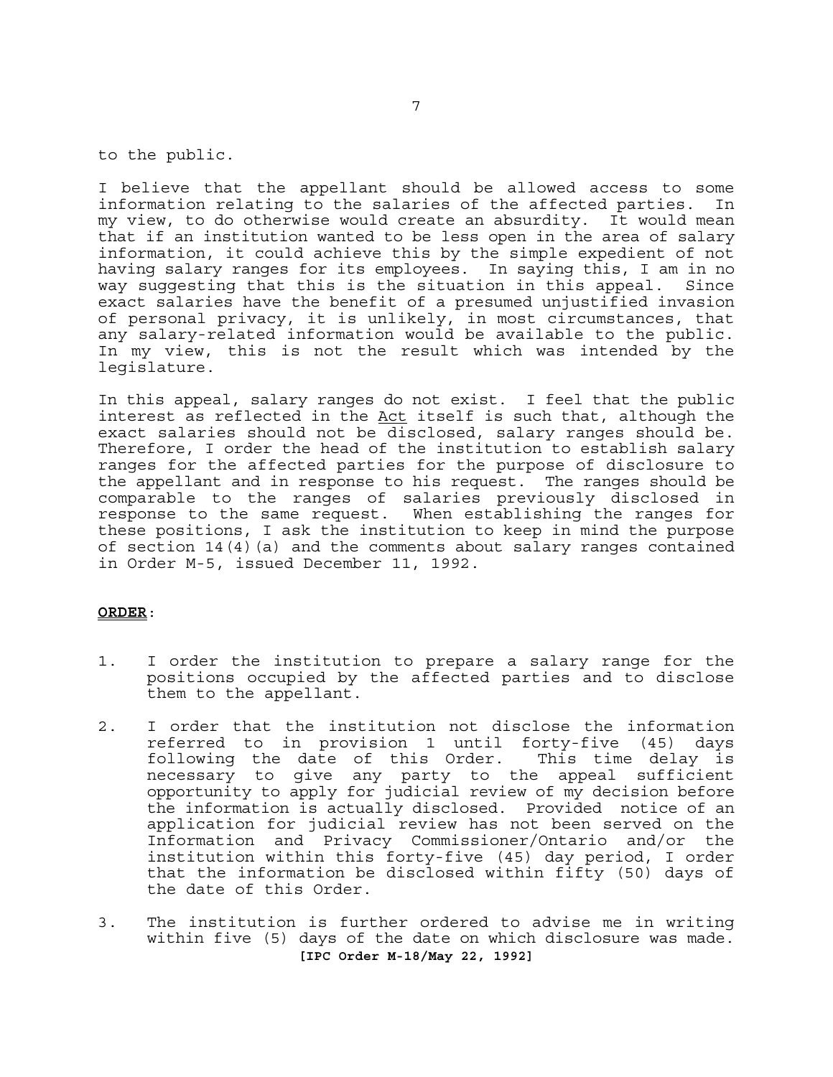to the public.

I believe that the appellant should be allowed access to some information relating to the salaries of the affected parties. In my view, to do otherwise would create an absurdity. It would mean that if an institution wanted to be less open in the area of salary information, it could achieve this by the simple expedient of not having salary ranges for its employees. In saying this, I am in no way suggesting that this is the situation in this appeal. Since exact salaries have the benefit of a presumed unjustified invasion of personal privacy, it is unlikely, in most circumstances, that any salary-related information would be available to the public. In my view, this is not the result which was intended by the legislature.

In this appeal, salary ranges do not exist. I feel that the public interest as reflected in the Act itself is such that, although the exact salaries should not be disclosed, salary ranges should be. Therefore, I order the head of the institution to establish salary ranges for the affected parties for the purpose of disclosure to the appellant and in response to his request. The ranges should be comparable to the ranges of salaries previously disclosed in response to the same request. When establishing the ranges for these positions, I ask the institution to keep in mind the purpose of section  $14(4)(a)$  and the comments about salary ranges contained in Order M-5, issued December 11, 1992.

### **ORDER**:

- 1. I order the institution to prepare a salary range for the positions occupied by the affected parties and to disclose them to the appellant.
- 2. I order that the institution not disclose the information referred to in provision 1 until forty-five (45) days following the date of this Order. necessary to give any party to the appeal sufficient opportunity to apply for judicial review of my decision before the information is actually disclosed. Provided notice of an application for judicial review has not been served on the Information and Privacy Commissioner/Ontario and/or the institution within this forty-five (45) day period, I order that the information be disclosed within fifty (50) days of the date of this Order.
- **[IPC Order M-18/May 22, 1992]**  3. The institution is further ordered to advise me in writing within five (5) days of the date on which disclosure was made.